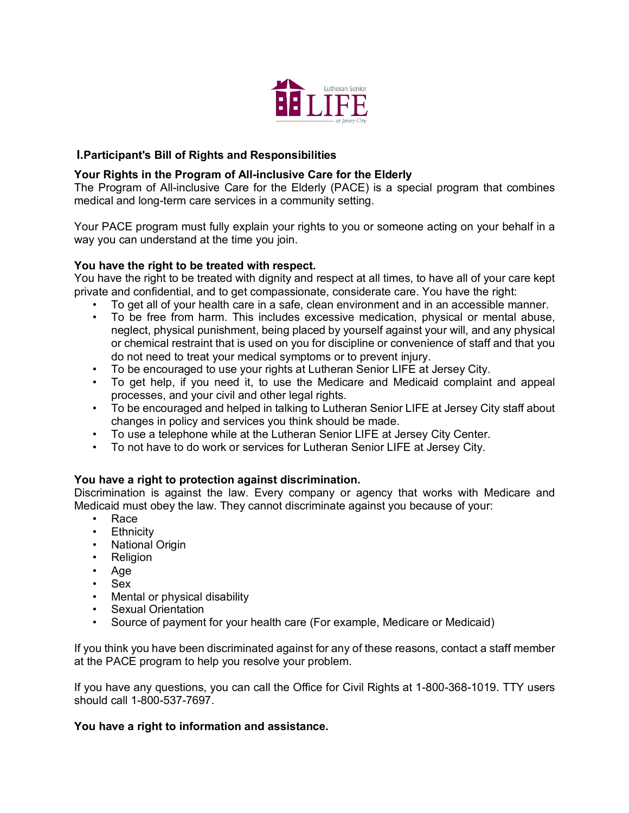

## **I.Participant's Bill of Rights and Responsibilities**

## **Your Rights in the Program of All-inclusive Care for the Elderly**

The Program of All-inclusive Care for the Elderly (PACE) is a special program that combines medical and long-term care services in a community setting.

Your PACE program must fully explain your rights to you or someone acting on your behalf in a way you can understand at the time you join.

#### **You have the right to be treated with respect.**

You have the right to be treated with dignity and respect at all times, to have all of your care kept private and confidential, and to get compassionate, considerate care. You have the right:

- To get all of your health care in a safe, clean environment and in an accessible manner.
- To be free from harm. This includes excessive medication, physical or mental abuse, neglect, physical punishment, being placed by yourself against your will, and any physical or chemical restraint that is used on you for discipline or convenience of staff and that you do not need to treat your medical symptoms or to prevent injury.
- To be encouraged to use your rights at Lutheran Senior LIFE at Jersey City.
- To get help, if you need it, to use the Medicare and Medicaid complaint and appeal processes, and your civil and other legal rights.
- To be encouraged and helped in talking to Lutheran Senior LIFE at Jersey City staff about changes in policy and services you think should be made.
- To use a telephone while at the Lutheran Senior LIFE at Jersey City Center.
- To not have to do work or services for Lutheran Senior LIFE at Jersey City.

#### **You have a right to protection against discrimination.**

Discrimination is against the law. Every company or agency that works with Medicare and Medicaid must obey the law. They cannot discriminate against you because of your:

- Race
- Ethnicity
- **National Origin**
- **Religion**
- Age
- Sex
- Mental or physical disability
- Sexual Orientation
- Source of payment for your health care (For example, Medicare or Medicaid)

If you think you have been discriminated against for any of these reasons, contact a staff member at the PACE program to help you resolve your problem.

If you have any questions, you can call the Office for Civil Rights at 1-800-368-1019. TTY users should call 1-800-537-7697.

#### **You have a right to information and assistance.**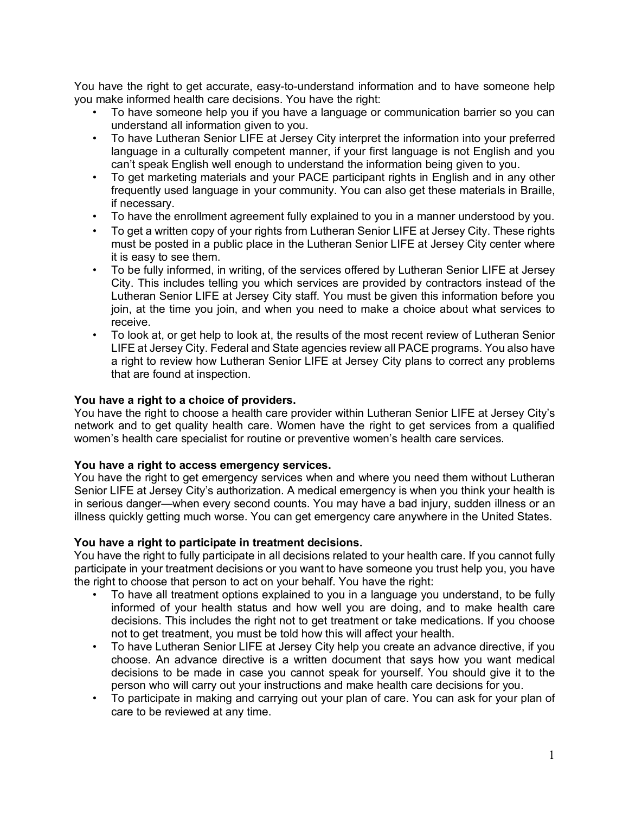You have the right to get accurate, easy-to-understand information and to have someone help you make informed health care decisions. You have the right:

- To have someone help you if you have a language or communication barrier so you can understand all information given to you.
- To have Lutheran Senior LIFE at Jersey City interpret the information into your preferred language in a culturally competent manner, if your first language is not English and you can't speak English well enough to understand the information being given to you.
- To get marketing materials and your PACE participant rights in English and in any other frequently used language in your community. You can also get these materials in Braille, if necessary.
- To have the enrollment agreement fully explained to you in a manner understood by you.
- To get a written copy of your rights from Lutheran Senior LIFE at Jersey City. These rights must be posted in a public place in the Lutheran Senior LIFE at Jersey City center where it is easy to see them.
- To be fully informed, in writing, of the services offered by Lutheran Senior LIFE at Jersey City. This includes telling you which services are provided by contractors instead of the Lutheran Senior LIFE at Jersey City staff. You must be given this information before you join, at the time you join, and when you need to make a choice about what services to receive.
- To look at, or get help to look at, the results of the most recent review of Lutheran Senior LIFE at Jersey City. Federal and State agencies review all PACE programs. You also have a right to review how Lutheran Senior LIFE at Jersey City plans to correct any problems that are found at inspection.

### **You have a right to a choice of providers.**

You have the right to choose a health care provider within Lutheran Senior LIFE at Jersey City's network and to get quality health care. Women have the right to get services from a qualified women's health care specialist for routine or preventive women's health care services.

#### **You have a right to access emergency services.**

You have the right to get emergency services when and where you need them without Lutheran Senior LIFE at Jersey City's authorization. A medical emergency is when you think your health is in serious danger—when every second counts. You may have a bad injury, sudden illness or an illness quickly getting much worse. You can get emergency care anywhere in the United States.

#### **You have a right to participate in treatment decisions.**

You have the right to fully participate in all decisions related to your health care. If you cannot fully participate in your treatment decisions or you want to have someone you trust help you, you have the right to choose that person to act on your behalf. You have the right:

- To have all treatment options explained to you in a language you understand, to be fully informed of your health status and how well you are doing, and to make health care decisions. This includes the right not to get treatment or take medications. If you choose not to get treatment, you must be told how this will affect your health.
- To have Lutheran Senior LIFE at Jersey City help you create an advance directive, if you choose. An advance directive is a written document that says how you want medical decisions to be made in case you cannot speak for yourself. You should give it to the person who will carry out your instructions and make health care decisions for you.
- To participate in making and carrying out your plan of care. You can ask for your plan of care to be reviewed at any time.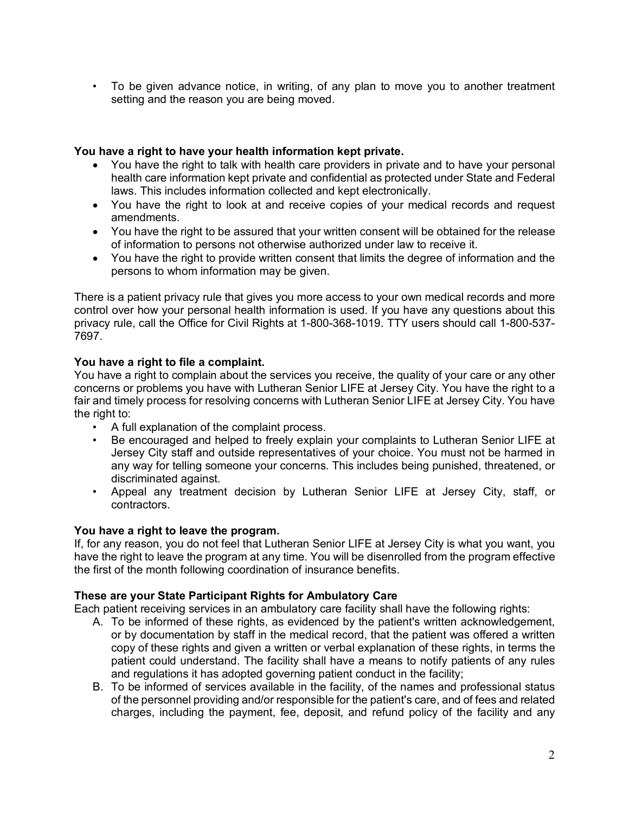• To be given advance notice, in writing, of any plan to move you to another treatment setting and the reason you are being moved.

## **You have a right to have your health information kept private.**

- You have the right to talk with health care providers in private and to have your personal health care information kept private and confidential as protected under State and Federal laws. This includes information collected and kept electronically.
- You have the right to look at and receive copies of your medical records and request amendments.
- You have the right to be assured that your written consent will be obtained for the release of information to persons not otherwise authorized under law to receive it.
- You have the right to provide written consent that limits the degree of information and the persons to whom information may be given.

There is a patient privacy rule that gives you more access to your own medical records and more control over how your personal health information is used. If you have any questions about this privacy rule, call the Office for Civil Rights at 1-800-368-1019. TTY users should call 1-800-537- 7697.

## **You have a right to file a complaint.**

You have a right to complain about the services you receive, the quality of your care or any other concerns or problems you have with Lutheran Senior LIFE at Jersey City. You have the right to a fair and timely process for resolving concerns with Lutheran Senior LIFE at Jersey City. You have the right to:

- A full explanation of the complaint process.
- Be encouraged and helped to freely explain your complaints to Lutheran Senior LIFE at Jersey City staff and outside representatives of your choice. You must not be harmed in any way for telling someone your concerns. This includes being punished, threatened, or discriminated against.
- Appeal any treatment decision by Lutheran Senior LIFE at Jersey City, staff, or contractors.

## **You have a right to leave the program.**

If, for any reason, you do not feel that Lutheran Senior LIFE at Jersey City is what you want, you have the right to leave the program at any time. You will be disenrolled from the program effective the first of the month following coordination of insurance benefits.

# **These are your State Participant Rights for Ambulatory Care**

Each patient receiving services in an ambulatory care facility shall have the following rights:

- A. To be informed of these rights, as evidenced by the patient's written acknowledgement, or by documentation by staff in the medical record, that the patient was offered a written copy of these rights and given a written or verbal explanation of these rights, in terms the patient could understand. The facility shall have a means to notify patients of any rules and regulations it has adopted governing patient conduct in the facility;
- B. To be informed of services available in the facility, of the names and professional status of the personnel providing and/or responsible for the patient's care, and of fees and related charges, including the payment, fee, deposit, and refund policy of the facility and any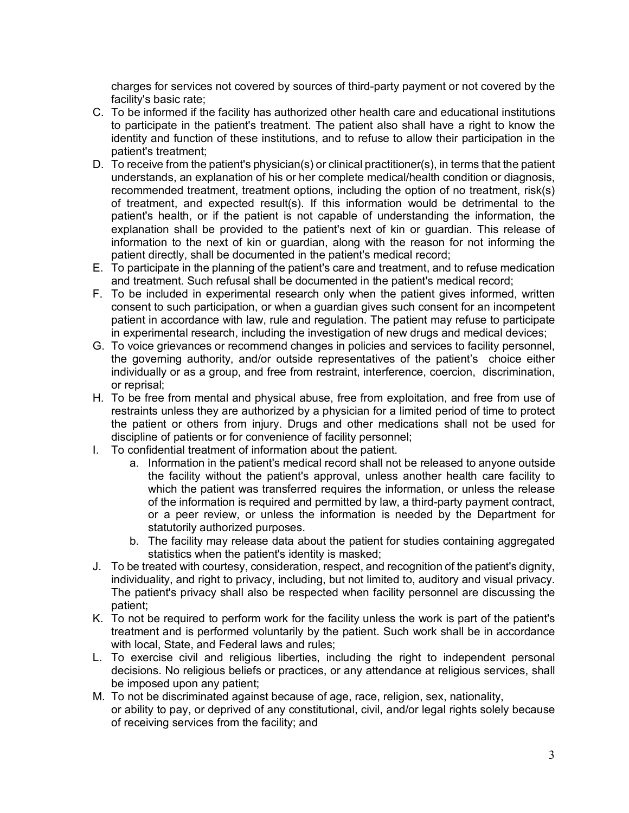charges for services not covered by sources of third-party payment or not covered by the facility's basic rate;

- C. To be informed if the facility has authorized other health care and educational institutions to participate in the patient's treatment. The patient also shall have a right to know the identity and function of these institutions, and to refuse to allow their participation in the patient's treatment;
- D. To receive from the patient's physician(s) or clinical practitioner(s), in terms that the patient understands, an explanation of his or her complete medical/health condition or diagnosis, recommended treatment, treatment options, including the option of no treatment, risk(s) of treatment, and expected result(s). If this information would be detrimental to the patient's health, or if the patient is not capable of understanding the information, the explanation shall be provided to the patient's next of kin or guardian. This release of information to the next of kin or guardian, along with the reason for not informing the patient directly, shall be documented in the patient's medical record;
- E. To participate in the planning of the patient's care and treatment, and to refuse medication and treatment. Such refusal shall be documented in the patient's medical record;
- F. To be included in experimental research only when the patient gives informed, written consent to such participation, or when a guardian gives such consent for an incompetent patient in accordance with law, rule and regulation. The patient may refuse to participate in experimental research, including the investigation of new drugs and medical devices;
- G. To voice grievances or recommend changes in policies and services to facility personnel, the governing authority, and/or outside representatives of the patient's choice either individually or as a group, and free from restraint, interference, coercion, discrimination, or reprisal;
- H. To be free from mental and physical abuse, free from exploitation, and free from use of restraints unless they are authorized by a physician for a limited period of time to protect the patient or others from injury. Drugs and other medications shall not be used for discipline of patients or for convenience of facility personnel;
- I. To confidential treatment of information about the patient.
	- a. Information in the patient's medical record shall not be released to anyone outside the facility without the patient's approval, unless another health care facility to which the patient was transferred requires the information, or unless the release of the information is required and permitted by law, a third-party payment contract, or a peer review, or unless the information is needed by the Department for statutorily authorized purposes.
	- b. The facility may release data about the patient for studies containing aggregated statistics when the patient's identity is masked;
- J. To be treated with courtesy, consideration, respect, and recognition of the patient's dignity, individuality, and right to privacy, including, but not limited to, auditory and visual privacy. The patient's privacy shall also be respected when facility personnel are discussing the patient;
- K. To not be required to perform work for the facility unless the work is part of the patient's treatment and is performed voluntarily by the patient. Such work shall be in accordance with local, State, and Federal laws and rules;
- L. To exercise civil and religious liberties, including the right to independent personal decisions. No religious beliefs or practices, or any attendance at religious services, shall be imposed upon any patient;
- M. To not be discriminated against because of age, race, religion, sex, nationality, or ability to pay, or deprived of any constitutional, civil, and/or legal rights solely because of receiving services from the facility; and